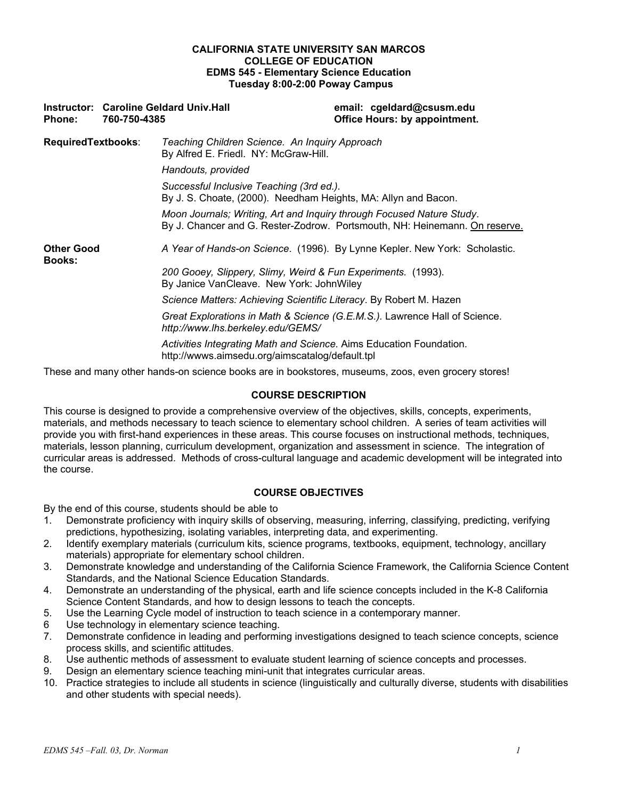### **CALIFORNIA STATE UNIVERSITY SAN MARCOS COLLEGE OF EDUCATION EDMS 545 - Elementary Science Education Tuesday 8:00-2:00 Poway Campus**

| <b>Phone:</b>                      | 760-750-4385 | <b>Instructor: Caroline Geldard Univ. Hall</b>                                                                                                      | email: cgeldard@csusm.edu<br><b>Office Hours: by appointment.</b>          |
|------------------------------------|--------------|-----------------------------------------------------------------------------------------------------------------------------------------------------|----------------------------------------------------------------------------|
| <b>RequiredTextbooks:</b>          |              | Teaching Children Science. An Inquiry Approach<br>By Alfred E. Friedl. NY: McGraw-Hill.                                                             |                                                                            |
|                                    |              | Handouts, provided                                                                                                                                  |                                                                            |
|                                    |              | Successful Inclusive Teaching (3rd ed.).<br>By J. S. Choate, (2000). Needham Heights, MA: Allyn and Bacon.                                          |                                                                            |
|                                    |              | Moon Journals; Writing, Art and Inquiry through Focused Nature Study.<br>By J. Chancer and G. Rester-Zodrow. Portsmouth, NH: Heinemann. On reserve. |                                                                            |
| <b>Other Good</b><br><b>Books:</b> |              |                                                                                                                                                     | A Year of Hands-on Science. (1996). By Lynne Kepler. New York: Scholastic. |
|                                    |              | 200 Gooey, Slippery, Slimy, Weird & Fun Experiments. (1993).<br>By Janice VanCleave. New York: JohnWiley                                            |                                                                            |
|                                    |              | Science Matters: Achieving Scientific Literacy. By Robert M. Hazen                                                                                  |                                                                            |
|                                    |              | http://www.lhs.berkeley.edu/GEMS/                                                                                                                   | Great Explorations in Math & Science (G.E.M.S.). Lawrence Hall of Science. |
|                                    |              | Activities Integrating Math and Science. Aims Education Foundation.<br>http://wwws.aimsedu.org/aimscatalog/default.tpl                              |                                                                            |
|                                    |              |                                                                                                                                                     |                                                                            |

These and many other hands-on science books are in bookstores, museums, zoos, even grocery stores!

## **COURSE DESCRIPTION**

This course is designed to provide a comprehensive overview of the objectives, skills, concepts, experiments, materials, and methods necessary to teach science to elementary school children. A series of team activities will provide you with first-hand experiences in these areas. This course focuses on instructional methods, techniques, materials, lesson planning, curriculum development, organization and assessment in science. The integration of curricular areas is addressed. Methods of cross-cultural language and academic development will be integrated into the course.

## **COURSE OBJECTIVES**

By the end of this course, students should be able to

- 1. Demonstrate proficiency with inquiry skills of observing, measuring, inferring, classifying, predicting, verifying predictions, hypothesizing, isolating variables, interpreting data, and experimenting.
- 2. Identify exemplary materials (curriculum kits, science programs, textbooks, equipment, technology, ancillary materials) appropriate for elementary school children.
- 3. Demonstrate knowledge and understanding of the California Science Framework, the California Science Content Standards, and the National Science Education Standards.
- 4. Demonstrate an understanding of the physical, earth and life science concepts included in the K-8 California Science Content Standards, and how to design lessons to teach the concepts.
- 5. Use the Learning Cycle model of instruction to teach science in a contemporary manner.
- 6 Use technology in elementary science teaching.
- 7. Demonstrate confidence in leading and performing investigations designed to teach science concepts, science process skills, and scientific attitudes.
- 8. Use authentic methods of assessment to evaluate student learning of science concepts and processes.
- 9. Design an elementary science teaching mini-unit that integrates curricular areas.
- 10. Practice strategies to include all students in science (linguistically and culturally diverse, students with disabilities and other students with special needs).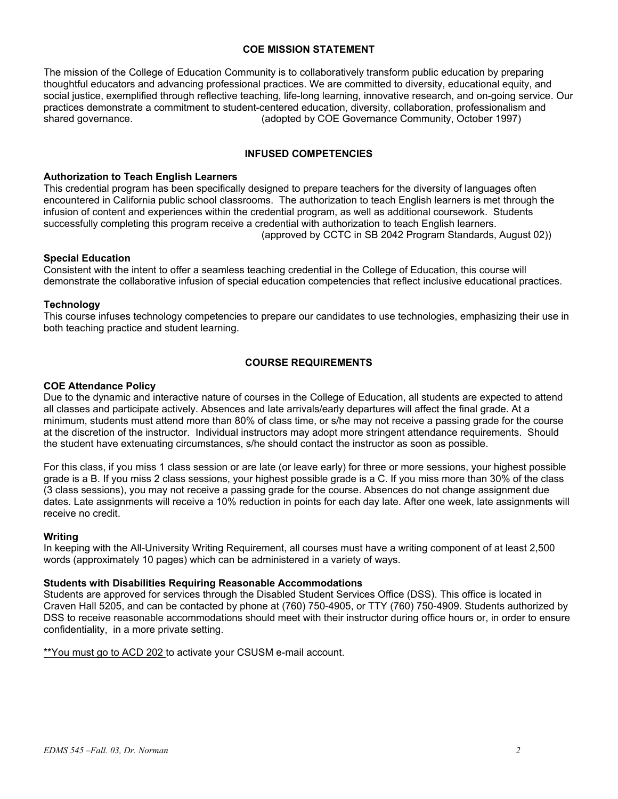## **COE MISSION STATEMENT**

The mission of the College of Education Community is to collaboratively transform public education by preparing thoughtful educators and advancing professional practices. We are committed to diversity, educational equity, and social justice, exemplified through reflective teaching, life-long learning, innovative research, and on-going service. Our practices demonstrate a commitment to student-centered education, diversity, collaboration, professionalism and shared governance. (adopted by COE Governance Community, October 1997)

### **INFUSED COMPETENCIES**

### **Authorization to Teach English Learners**

This credential program has been specifically designed to prepare teachers for the diversity of languages often encountered in California public school classrooms. The authorization to teach English learners is met through the infusion of content and experiences within the credential program, as well as additional coursework. Students successfully completing this program receive a credential with authorization to teach English learners. (approved by CCTC in SB 2042 Program Standards, August 02))

## **Special Education**

Consistent with the intent to offer a seamless teaching credential in the College of Education, this course will demonstrate the collaborative infusion of special education competencies that reflect inclusive educational practices.

### **Technology**

This course infuses technology competencies to prepare our candidates to use technologies, emphasizing their use in both teaching practice and student learning.

## **COURSE REQUIREMENTS**

### **COE Attendance Policy**

Due to the dynamic and interactive nature of courses in the College of Education, all students are expected to attend all classes and participate actively. Absences and late arrivals/early departures will affect the final grade. At a minimum, students must attend more than 80% of class time, or s/he may not receive a passing grade for the course at the discretion of the instructor. Individual instructors may adopt more stringent attendance requirements. Should the student have extenuating circumstances, s/he should contact the instructor as soon as possible.

For this class, if you miss 1 class session or are late (or leave early) for three or more sessions, your highest possible grade is a B. If you miss 2 class sessions, your highest possible grade is a C. If you miss more than 30% of the class (3 class sessions), you may not receive a passing grade for the course. Absences do not change assignment due dates. Late assignments will receive a 10% reduction in points for each day late. After one week, late assignments will receive no credit.

### **Writing**

In keeping with the All-University Writing Requirement, all courses must have a writing component of at least 2,500 words (approximately 10 pages) which can be administered in a variety of ways.

### **Students with Disabilities Requiring Reasonable Accommodations**

Students are approved for services through the Disabled Student Services Office (DSS). This office is located in Craven Hall 5205, and can be contacted by phone at (760) 750-4905, or TTY (760) 750-4909. Students authorized by DSS to receive reasonable accommodations should meet with their instructor during office hours or, in order to ensure confidentiality, in a more private setting.

\*\*You must go to ACD 202 to activate your CSUSM e-mail account.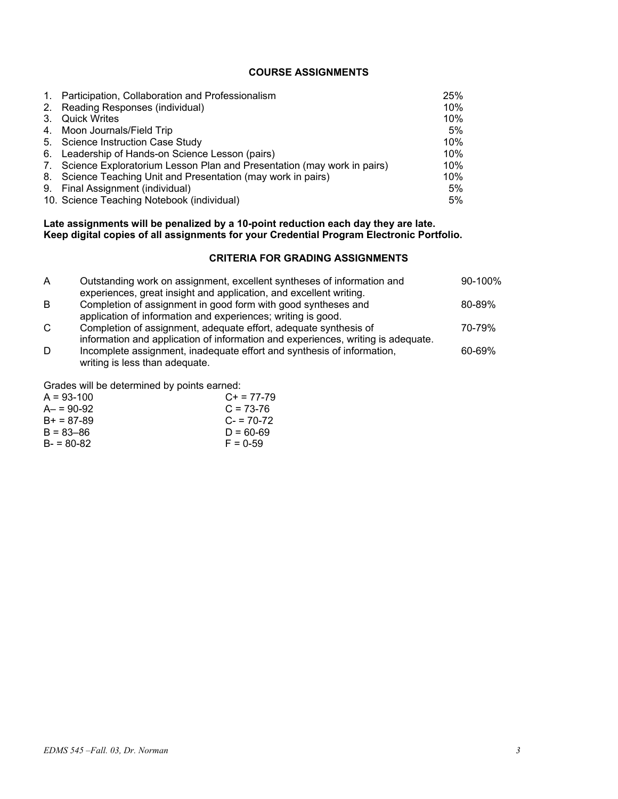## **COURSE ASSIGNMENTS**

| 1. Participation, Collaboration and Professionalism                       | 25%   |
|---------------------------------------------------------------------------|-------|
| 2. Reading Responses (individual)                                         | 10%   |
| 3. Quick Writes                                                           | 10%   |
| 4. Moon Journals/Field Trip                                               | 5%    |
| 5. Science Instruction Case Study                                         | 10%   |
| 6. Leadership of Hands-on Science Lesson (pairs)                          | 10%   |
| 7. Science Exploratorium Lesson Plan and Presentation (may work in pairs) | 10%   |
| 8. Science Teaching Unit and Presentation (may work in pairs)             | 10%   |
| 9. Final Assignment (individual)                                          | 5%    |
| 10. Science Teaching Notebook (individual)                                | $5\%$ |

### **Late assignments will be penalized by a 10-point reduction each day they are late. Keep digital copies of all assignments for your Credential Program Electronic Portfolio.**

## **CRITERIA FOR GRADING ASSIGNMENTS**

| A            | Outstanding work on assignment, excellent syntheses of information and<br>experiences, great insight and application, and excellent writing.         | 90-100% |
|--------------|------------------------------------------------------------------------------------------------------------------------------------------------------|---------|
| B            | Completion of assignment in good form with good syntheses and<br>application of information and experiences; writing is good.                        | 80-89%  |
| $\mathsf{C}$ | Completion of assignment, adequate effort, adequate synthesis of<br>information and application of information and experiences, writing is adequate. | 70-79%  |
| D            | Incomplete assignment, inadequate effort and synthesis of information,<br>writing is less than adequate.                                             | 60-69%  |

Grades will be determined by points earned:

| $C_{+}$ = 77-79 |
|-----------------|
| $C = 73-76$     |
| $C = 70-72$     |
| $D = 60 - 69$   |
| $F = 0.59$      |
|                 |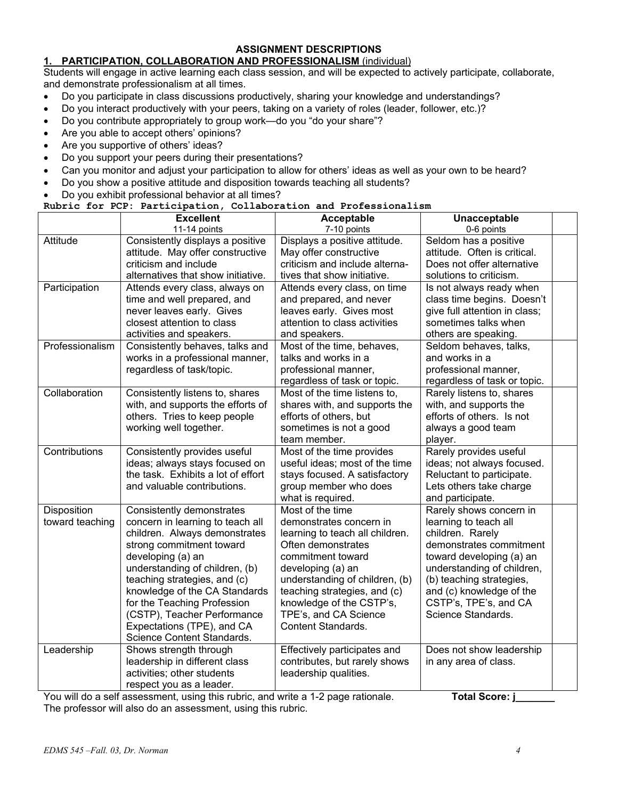## **ASSIGNMENT DESCRIPTIONS**

## **1. PARTICIPATION, COLLABORATION AND PROFESSIONALISM** (individual)

Students will engage in active learning each class session, and will be expected to actively participate, collaborate, and demonstrate professionalism at all times.

- Do you participate in class discussions productively, sharing your knowledge and understandings?
- Do you interact productively with your peers, taking on a variety of roles (leader, follower, etc.)?
- Do you contribute appropriately to group work—do you "do your share"?
- Are you able to accept others' opinions?
- Are you supportive of others' ideas?
- Do you support your peers during their presentations?
- Can you monitor and adjust your participation to allow for others' ideas as well as your own to be heard?
- Do you show a positive attitude and disposition towards teaching all students?
- Do you exhibit professional behavior at all times?

### **Rubric for PCP: Participation, Collaboration and Professionalism**

|                 | <b>Excellent</b>                   | Acceptable                      | Unacceptable                  |  |
|-----------------|------------------------------------|---------------------------------|-------------------------------|--|
|                 | 11-14 points                       | 7-10 points                     | 0-6 points                    |  |
| Attitude        | Consistently displays a positive   | Displays a positive attitude.   | Seldom has a positive         |  |
|                 | attitude. May offer constructive   | May offer constructive          | attitude. Often is critical.  |  |
|                 | criticism and include              | criticism and include alterna-  | Does not offer alternative    |  |
|                 | alternatives that show initiative. | tives that show initiative.     | solutions to criticism.       |  |
| Participation   | Attends every class, always on     | Attends every class, on time    | Is not always ready when      |  |
|                 | time and well prepared, and        | and prepared, and never         | class time begins. Doesn't    |  |
|                 | never leaves early. Gives          | leaves early. Gives most        | give full attention in class; |  |
|                 | closest attention to class         | attention to class activities   | sometimes talks when          |  |
|                 | activities and speakers.           | and speakers.                   | others are speaking.          |  |
| Professionalism | Consistently behaves, talks and    | Most of the time, behaves,      | Seldom behaves, talks,        |  |
|                 | works in a professional manner,    | talks and works in a            | and works in a                |  |
|                 | regardless of task/topic.          | professional manner,            | professional manner,          |  |
|                 |                                    | regardless of task or topic.    | regardless of task or topic.  |  |
| Collaboration   | Consistently listens to, shares    | Most of the time listens to,    | Rarely listens to, shares     |  |
|                 | with, and supports the efforts of  | shares with, and supports the   | with, and supports the        |  |
|                 | others. Tries to keep people       | efforts of others, but          | efforts of others. Is not     |  |
|                 | working well together.             | sometimes is not a good         | always a good team            |  |
|                 |                                    | team member.                    | player.                       |  |
| Contributions   | Consistently provides useful       | Most of the time provides       | Rarely provides useful        |  |
|                 | ideas; always stays focused on     | useful ideas; most of the time  | ideas; not always focused.    |  |
|                 | the task. Exhibits a lot of effort | stays focused. A satisfactory   | Reluctant to participate.     |  |
|                 | and valuable contributions.        | group member who does           | Lets others take charge       |  |
|                 |                                    | what is required.               | and participate.              |  |
| Disposition     | Consistently demonstrates          | Most of the time                | Rarely shows concern in       |  |
| toward teaching | concern in learning to teach all   | demonstrates concern in         | learning to teach all         |  |
|                 | children. Always demonstrates      | learning to teach all children. | children. Rarely              |  |
|                 | strong commitment toward           | Often demonstrates              | demonstrates commitment       |  |
|                 | developing (a) an                  | commitment toward               | toward developing (a) an      |  |
|                 | understanding of children, (b)     | developing (a) an               | understanding of children,    |  |
|                 | teaching strategies, and (c)       | understanding of children, (b)  | (b) teaching strategies,      |  |
|                 | knowledge of the CA Standards      | teaching strategies, and (c)    | and (c) knowledge of the      |  |
|                 | for the Teaching Profession        | knowledge of the CSTP's,        | CSTP's, TPE's, and CA         |  |
|                 | (CSTP), Teacher Performance        | TPE's, and CA Science           | Science Standards.            |  |
|                 | Expectations (TPE), and CA         | <b>Content Standards.</b>       |                               |  |
|                 | Science Content Standards.         |                                 |                               |  |
| Leadership      | Shows strength through             | Effectively participates and    | Does not show leadership      |  |
|                 | leadership in different class      | contributes, but rarely shows   | in any area of class.         |  |
|                 | activities; other students         | leadership qualities.           |                               |  |
|                 | respect you as a leader.           |                                 |                               |  |
|                 |                                    |                                 |                               |  |

You will do a self assessment, using this rubric, and write a 1-2 page rationale. **Total Score: j\_\_\_\_** The professor will also do an assessment, using this rubric.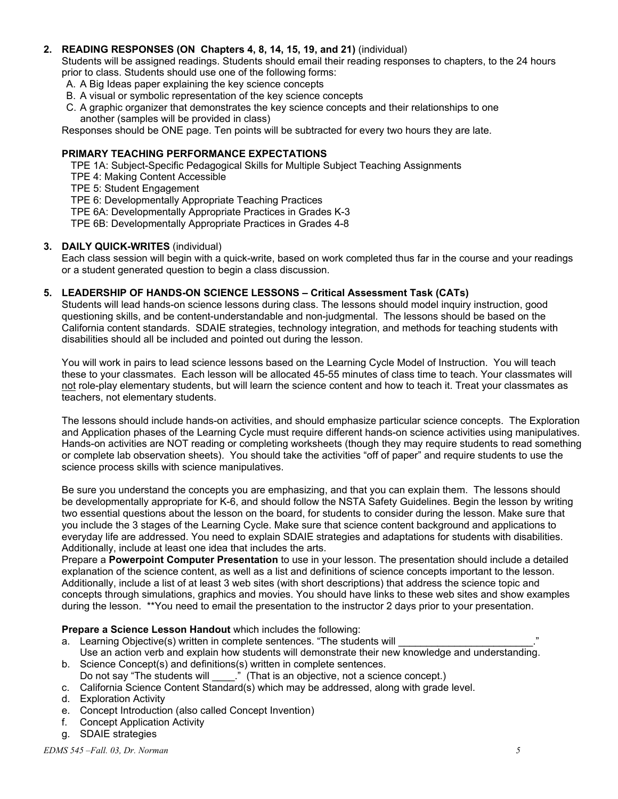## **2. READING RESPONSES (ON Chapters 4, 8, 14, 15, 19, and 21)** (individual)

Students will be assigned readings. Students should email their reading responses to chapters, to the 24 hours prior to class. Students should use one of the following forms:

A. A Big Ideas paper explaining the key science concepts

- B. A visual or symbolic representation of the key science concepts
- C. A graphic organizer that demonstrates the key science concepts and their relationships to one another (samples will be provided in class)

Responses should be ONE page. Ten points will be subtracted for every two hours they are late.

## **PRIMARY TEACHING PERFORMANCE EXPECTATIONS**

TPE 1A: Subject-Specific Pedagogical Skills for Multiple Subject Teaching Assignments

- TPE 4: Making Content Accessible
- TPE 5: Student Engagement

TPE 6: Developmentally Appropriate Teaching Practices

TPE 6A: Developmentally Appropriate Practices in Grades K-3

TPE 6B: Developmentally Appropriate Practices in Grades 4-8

## **3. DAILY QUICK-WRITES** (individual)

 Each class session will begin with a quick-write, based on work completed thus far in the course and your readings or a student generated question to begin a class discussion.

## **5. LEADERSHIP OF HANDS-ON SCIENCE LESSONS – Critical Assessment Task (CATs)**

Students will lead hands-on science lessons during class. The lessons should model inquiry instruction, good questioning skills, and be content-understandable and non-judgmental. The lessons should be based on the California content standards. SDAIE strategies, technology integration, and methods for teaching students with disabilities should all be included and pointed out during the lesson.

You will work in pairs to lead science lessons based on the Learning Cycle Model of Instruction. You will teach these to your classmates. Each lesson will be allocated 45-55 minutes of class time to teach. Your classmates will not role-play elementary students, but will learn the science content and how to teach it. Treat your classmates as teachers, not elementary students.

The lessons should include hands-on activities, and should emphasize particular science concepts. The Exploration and Application phases of the Learning Cycle must require different hands-on science activities using manipulatives. Hands-on activities are NOT reading or completing worksheets (though they may require students to read something or complete lab observation sheets). You should take the activities "off of paper" and require students to use the science process skills with science manipulatives.

Be sure you understand the concepts you are emphasizing, and that you can explain them. The lessons should be developmentally appropriate for K-6, and should follow the NSTA Safety Guidelines. Begin the lesson by writing two essential questions about the lesson on the board, for students to consider during the lesson. Make sure that you include the 3 stages of the Learning Cycle. Make sure that science content background and applications to everyday life are addressed. You need to explain SDAIE strategies and adaptations for students with disabilities. Additionally, include at least one idea that includes the arts.

Prepare a **Powerpoint Computer Presentation** to use in your lesson. The presentation should include a detailed explanation of the science content, as well as a list and definitions of science concepts important to the lesson. Additionally, include a list of at least 3 web sites (with short descriptions) that address the science topic and concepts through simulations, graphics and movies. You should have links to these web sites and show examples during the lesson. \*\*You need to email the presentation to the instructor 2 days prior to your presentation.

**Prepare a Science Lesson Handout** which includes the following:

- a. Learning Objective(s) written in complete sentences. "The students will
- Use an action verb and explain how students will demonstrate their new knowledge and understanding. b. Science Concept(s) and definitions(s) written in complete sentences.
- Do not say "The students will \_\_\_\_\_." (That is an objective, not a science concept.)
- c. California Science Content Standard(s) which may be addressed, along with grade level.
- d. Exploration Activity
- e. Concept Introduction (also called Concept Invention)
- f. Concept Application Activity
- g. SDAIE strategies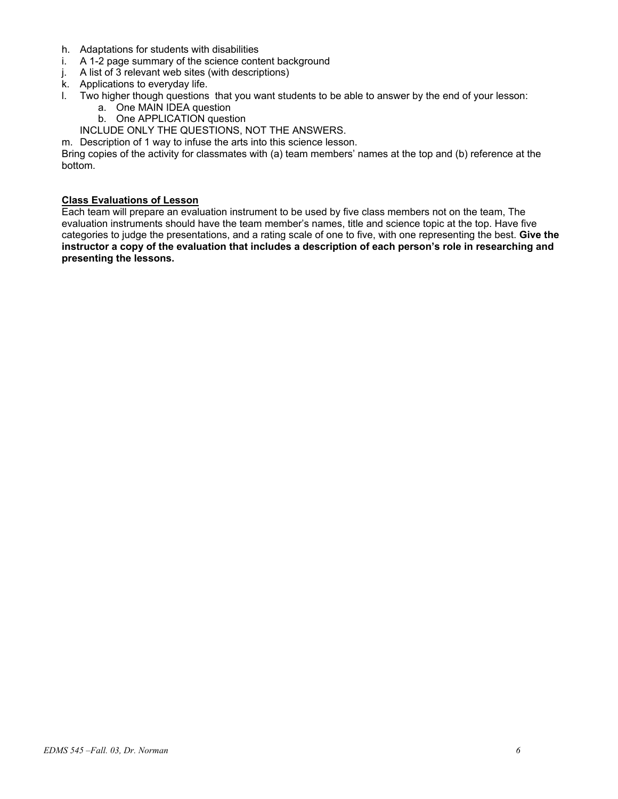- h. Adaptations for students with disabilities
- i. A 1-2 page summary of the science content background
- j. A list of 3 relevant web sites (with descriptions)
- k. Applications to everyday life.
- l. Two higher though questions that you want students to be able to answer by the end of your lesson:
	- a. One MAIN IDEA question
	- b. One APPLICATION question
	- INCLUDE ONLY THE QUESTIONS, NOT THE ANSWERS.
- m. Description of 1 way to infuse the arts into this science lesson.

Bring copies of the activity for classmates with (a) team members' names at the top and (b) reference at the bottom.

### **Class Evaluations of Lesson**

Each team will prepare an evaluation instrument to be used by five class members not on the team, The evaluation instruments should have the team member's names, title and science topic at the top. Have five categories to judge the presentations, and a rating scale of one to five, with one representing the best. **Give the instructor a copy of the evaluation that includes a description of each person's role in researching and presenting the lessons.**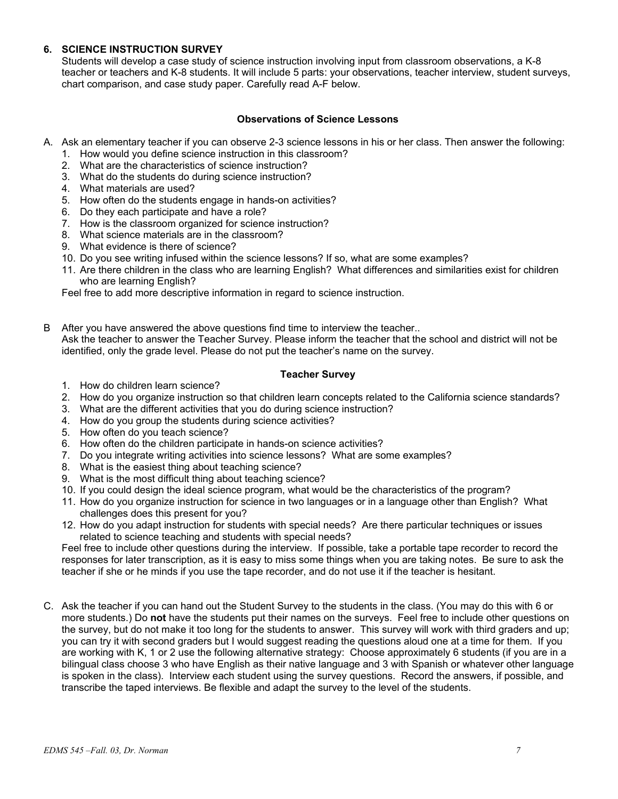## **6. SCIENCE INSTRUCTION SURVEY**

Students will develop a case study of science instruction involving input from classroom observations, a K-8 teacher or teachers and K-8 students. It will include 5 parts: your observations, teacher interview, student surveys, chart comparison, and case study paper. Carefully read A-F below.

## **Observations of Science Lessons**

- A. Ask an elementary teacher if you can observe 2-3 science lessons in his or her class. Then answer the following:
	- 1. How would you define science instruction in this classroom?
	- 2. What are the characteristics of science instruction?
	- 3. What do the students do during science instruction?
	- 4. What materials are used?
	- 5. How often do the students engage in hands-on activities?
	- 6. Do they each participate and have a role?
	- 7. How is the classroom organized for science instruction?
	- 8. What science materials are in the classroom?
	- 9. What evidence is there of science?
	- 10. Do you see writing infused within the science lessons? If so, what are some examples?
	- 11. Are there children in the class who are learning English? What differences and similarities exist for children who are learning English?

Feel free to add more descriptive information in regard to science instruction.

B After you have answered the above questions find time to interview the teacher.. Ask the teacher to answer the Teacher Survey. Please inform the teacher that the school and district will not be identified, only the grade level. Please do not put the teacher's name on the survey.

## **Teacher Survey**

- 1. How do children learn science?
- 2. How do you organize instruction so that children learn concepts related to the California science standards?
- 3. What are the different activities that you do during science instruction?
- 4. How do you group the students during science activities?
- 5. How often do you teach science?
- 6. How often do the children participate in hands-on science activities?
- 7. Do you integrate writing activities into science lessons? What are some examples?
- 8. What is the easiest thing about teaching science?
- 9. What is the most difficult thing about teaching science?
- 10. If you could design the ideal science program, what would be the characteristics of the program?
- 11. How do you organize instruction for science in two languages or in a language other than English? What challenges does this present for you?
- 12. How do you adapt instruction for students with special needs? Are there particular techniques or issues related to science teaching and students with special needs?

Feel free to include other questions during the interview. If possible, take a portable tape recorder to record the responses for later transcription, as it is easy to miss some things when you are taking notes. Be sure to ask the teacher if she or he minds if you use the tape recorder, and do not use it if the teacher is hesitant.

C. Ask the teacher if you can hand out the Student Survey to the students in the class. (You may do this with 6 or more students.) Do **not** have the students put their names on the surveys. Feel free to include other questions on the survey, but do not make it too long for the students to answer. This survey will work with third graders and up; you can try it with second graders but I would suggest reading the questions aloud one at a time for them. If you are working with K, 1 or 2 use the following alternative strategy: Choose approximately 6 students (if you are in a bilingual class choose 3 who have English as their native language and 3 with Spanish or whatever other language is spoken in the class). Interview each student using the survey questions. Record the answers, if possible, and transcribe the taped interviews. Be flexible and adapt the survey to the level of the students.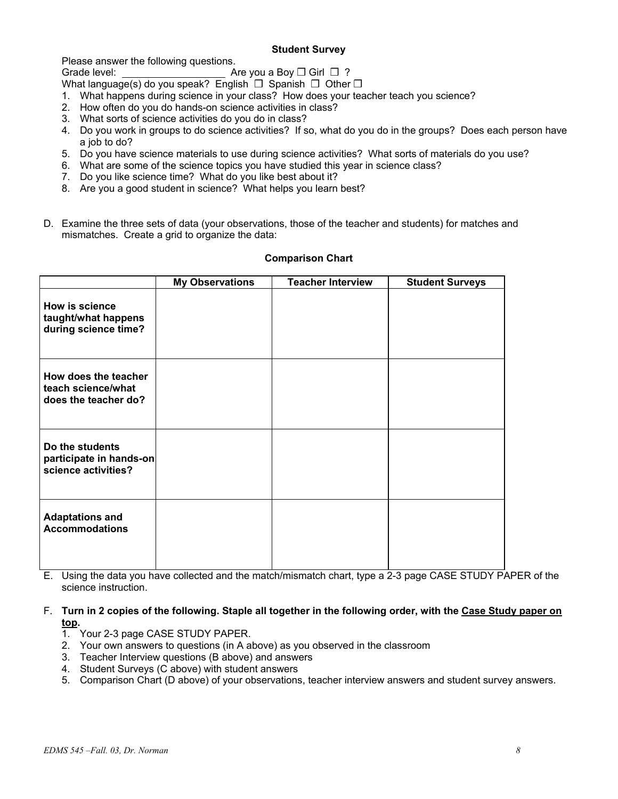## **Student Survey**

Please answer the following questions.

Grade level: **Are you a Boy ◯ Girl** ◯ ?

- What language(s) do you speak? English □ Spanish □ Other □ 1. What happens during science in your class? How does your teacher teach you science?
- 2. How often do you do hands-on science activities in class?
- 3. What sorts of science activities do you do in class?
- 4. Do you work in groups to do science activities? If so, what do you do in the groups? Does each person have a job to do?
- 5. Do you have science materials to use during science activities? What sorts of materials do you use?
- 6. What are some of the science topics you have studied this year in science class?
- 7. Do you like science time? What do you like best about it?
- 8. Are you a good student in science? What helps you learn best?
- D. Examine the three sets of data (your observations, those of the teacher and students) for matches and mismatches. Create a grid to organize the data:

|                                                                    | <b>My Observations</b> | <b>Teacher Interview</b> | <b>Student Surveys</b> |
|--------------------------------------------------------------------|------------------------|--------------------------|------------------------|
| How is science<br>taught/what happens<br>during science time?      |                        |                          |                        |
| How does the teacher<br>teach science/what<br>does the teacher do? |                        |                          |                        |
| Do the students<br>participate in hands-on<br>science activities?  |                        |                          |                        |
| <b>Adaptations and</b><br><b>Accommodations</b>                    |                        |                          |                        |

### **Comparison Chart**

E. Using the data you have collected and the match/mismatch chart, type a 2-3 page CASE STUDY PAPER of the science instruction.

F. **Turn in 2 copies of the following. Staple all together in the following order, with the Case Study paper on top.**

- 1. Your 2-3 page CASE STUDY PAPER.
- 2. Your own answers to questions (in A above) as you observed in the classroom
- 3. Teacher Interview questions (B above) and answers
- 4. Student Surveys (C above) with student answers
- 5. Comparison Chart (D above) of your observations, teacher interview answers and student survey answers.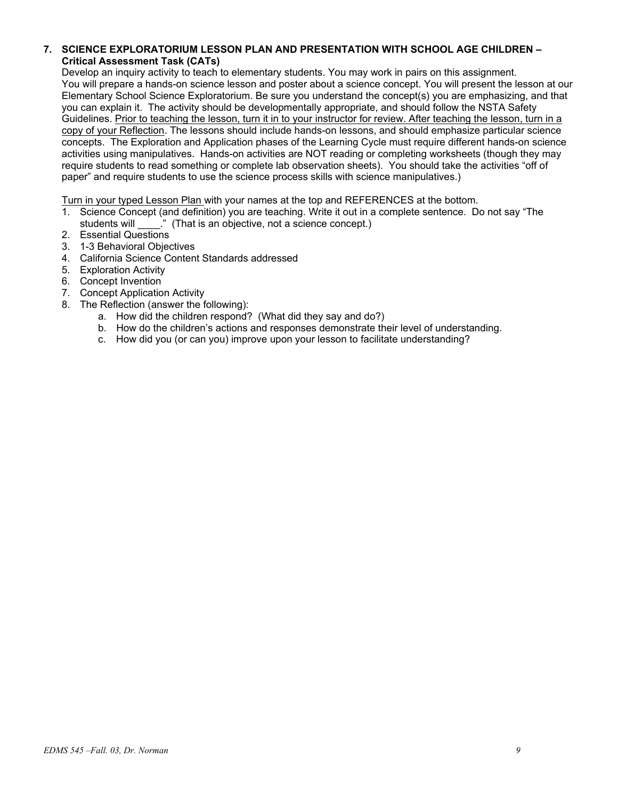## **7. SCIENCE EXPLORATORIUM LESSON PLAN AND PRESENTATION WITH SCHOOL AGE CHILDREN – Critical Assessment Task (CATs)**

Develop an inquiry activity to teach to elementary students. You may work in pairs on this assignment. You will prepare a hands-on science lesson and poster about a science concept. You will present the lesson at our Elementary School Science Exploratorium. Be sure you understand the concept(s) you are emphasizing, and that you can explain it. The activity should be developmentally appropriate, and should follow the NSTA Safety Guidelines. Prior to teaching the lesson, turn it in to your instructor for review. After teaching the lesson, turn in a copy of your Reflection. The lessons should include hands-on lessons, and should emphasize particular science concepts. The Exploration and Application phases of the Learning Cycle must require different hands-on science activities using manipulatives. Hands-on activities are NOT reading or completing worksheets (though they may require students to read something or complete lab observation sheets). You should take the activities "off of paper" and require students to use the science process skills with science manipulatives.)

Turn in your typed Lesson Plan with your names at the top and REFERENCES at the bottom.

- 1. Science Concept (and definition) you are teaching. Write it out in a complete sentence. Do not say "The students will  $\blacksquare$ ." (That is an objective, not a science concept.)
- 2. Essential Questions
- 3. 1-3 Behavioral Objectives
- 4. California Science Content Standards addressed
- 5. Exploration Activity
- 6. Concept Invention
- 7. Concept Application Activity
- 8. The Reflection (answer the following):
	- a. How did the children respond? (What did they say and do?)
	- b. How do the children's actions and responses demonstrate their level of understanding.
	- c. How did you (or can you) improve upon your lesson to facilitate understanding?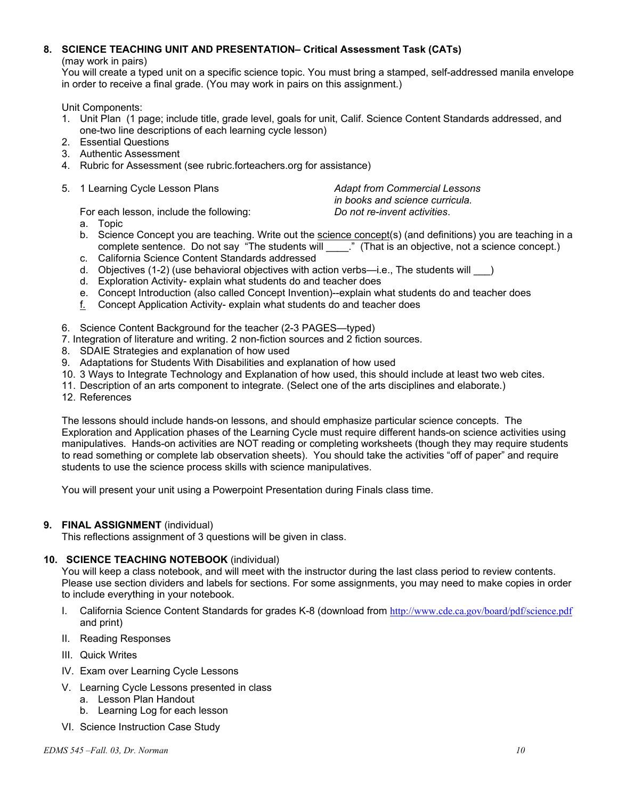# **8. SCIENCE TEACHING UNIT AND PRESENTATION– Critical Assessment Task (CATs)**

(may work in pairs)

You will create a typed unit on a specific science topic. You must bring a stamped, self-addressed manila envelope in order to receive a final grade. (You may work in pairs on this assignment.)

Unit Components:

- 1. Unit Plan (1 page; include title, grade level, goals for unit, Calif. Science Content Standards addressed, and one-two line descriptions of each learning cycle lesson)
- 2. Essential Questions
- 3. Authentic Assessment
- 4. Rubric for Assessment (see rubric.forteachers.org for assistance)
- 5. 1 Learning Cycle Lesson Plans *Adapt from Commercial Lessons*

*in books and science curricula.*

For each lesson, include the following: *Do not re-invent activities*.

- a. Topic
- b. Science Concept you are teaching. Write out the science concept(s) (and definitions) you are teaching in a complete sentence. Do not say "The students will \_\_\_\_.." (That is an objective, not a science concept.)
- c. California Science Content Standards addressed
- d. Objectives (1-2) (use behavioral objectives with action verbs—i.e., The students will  $\qquad$ )
- d. Exploration Activity- explain what students do and teacher does
- e. Concept Introduction (also called Concept Invention)--explain what students do and teacher does
- f. Concept Application Activity- explain what students do and teacher does
- 6. Science Content Background for the teacher (2-3 PAGES—typed)
- 7. Integration of literature and writing. 2 non-fiction sources and 2 fiction sources.
- 8. SDAIE Strategies and explanation of how used
- 9. Adaptations for Students With Disabilities and explanation of how used
- 10. 3 Ways to Integrate Technology and Explanation of how used, this should include at least two web cites.
- 11. Description of an arts component to integrate. (Select one of the arts disciplines and elaborate.)
- 12. References

The lessons should include hands-on lessons, and should emphasize particular science concepts. The Exploration and Application phases of the Learning Cycle must require different hands-on science activities using manipulatives. Hands-on activities are NOT reading or completing worksheets (though they may require students to read something or complete lab observation sheets). You should take the activities "off of paper" and require students to use the science process skills with science manipulatives.

You will present your unit using a Powerpoint Presentation during Finals class time.

## **9. FINAL ASSIGNMENT** (individual)

This reflections assignment of 3 questions will be given in class.

## **10. SCIENCE TEACHING NOTEBOOK** (individual)

You will keep a class notebook, and will meet with the instructor during the last class period to review contents. Please use section dividers and labels for sections. For some assignments, you may need to make copies in order to include everything in your notebook.

- I. California Science Content Standards for grades K-8 (download from http://www.cde.ca.gov/board/pdf/science.pdf and print)
- II. Reading Responses
- III. Quick Writes
- IV. Exam over Learning Cycle Lessons
- V. Learning Cycle Lessons presented in class
	- a. Lesson Plan Handout
	- b. Learning Log for each lesson
- VI. Science Instruction Case Study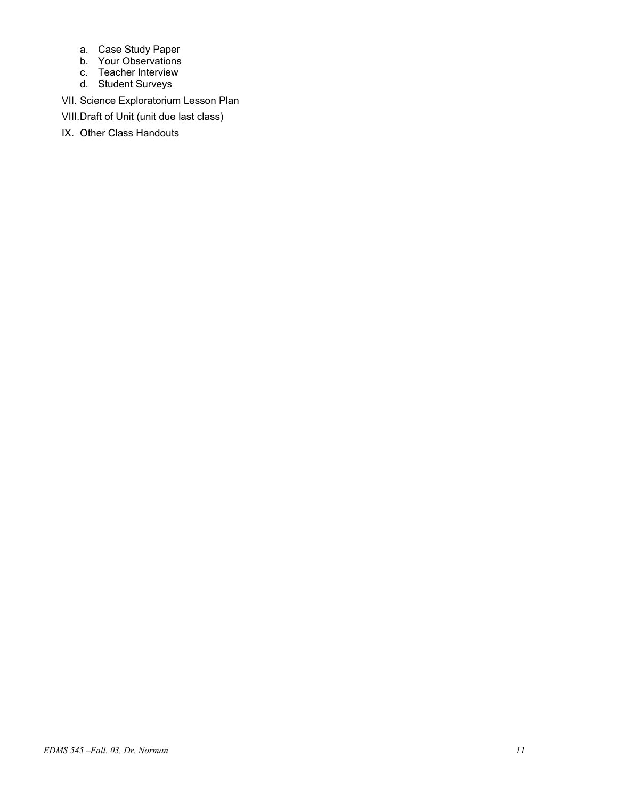- a. Case Study Paper
- b. Your Observations
- c. Teacher Interview
- d. Student Surveys
- VII. Science Exploratorium Lesson Plan
- VIII. Draft of Unit (unit due last class)
- IX. Other Class Handouts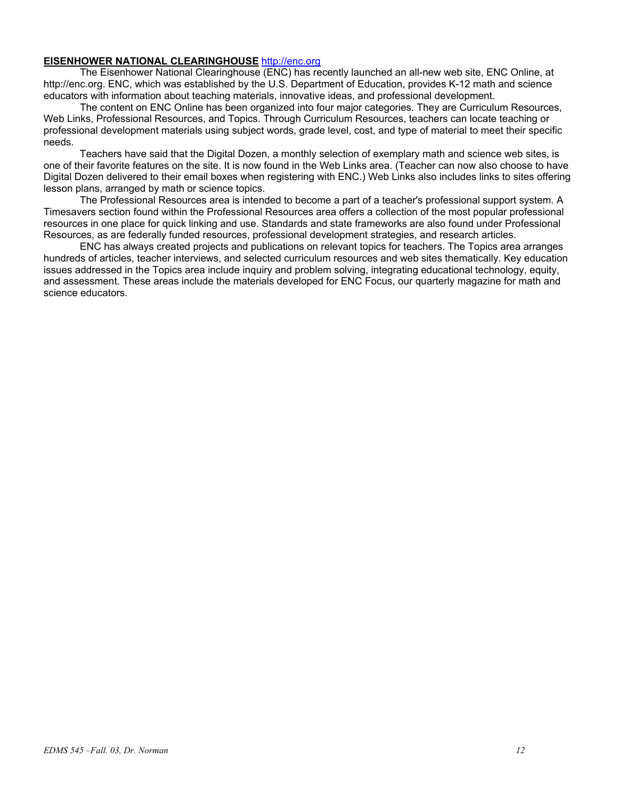## **EISENHOWER NATIONAL CLEARINGHOUSE** http://enc.org

The Eisenhower National Clearinghouse (ENC) has recently launched an all-new web site, ENC Online, at http://enc.org. ENC, which was established by the U.S. Department of Education, provides K-12 math and science educators with information about teaching materials, innovative ideas, and professional development.

The content on ENC Online has been organized into four major categories. They are Curriculum Resources, Web Links, Professional Resources, and Topics. Through Curriculum Resources, teachers can locate teaching or professional development materials using subject words, grade level, cost, and type of material to meet their specific needs.

Teachers have said that the Digital Dozen, a monthly selection of exemplary math and science web sites, is one of their favorite features on the site. It is now found in the Web Links area. (Teacher can now also choose to have Digital Dozen delivered to their email boxes when registering with ENC.) Web Links also includes links to sites offering lesson plans, arranged by math or science topics.

The Professional Resources area is intended to become a part of a teacher's professional support system. A Timesavers section found within the Professional Resources area offers a collection of the most popular professional resources in one place for quick linking and use. Standards and state frameworks are also found under Professional Resources, as are federally funded resources, professional development strategies, and research articles.

ENC has always created projects and publications on relevant topics for teachers. The Topics area arranges hundreds of articles, teacher interviews, and selected curriculum resources and web sites thematically. Key education issues addressed in the Topics area include inquiry and problem solving, integrating educational technology, equity, and assessment. These areas include the materials developed for ENC Focus, our quarterly magazine for math and science educators.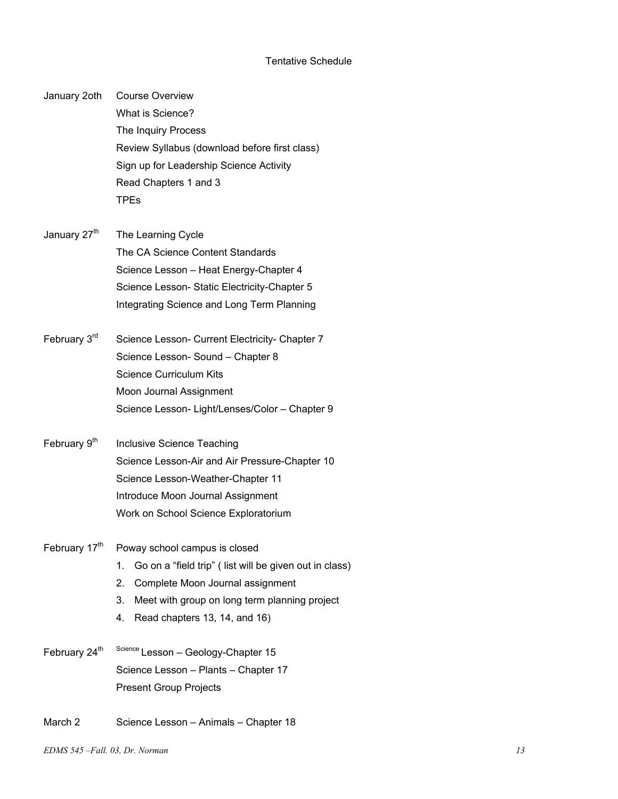## Tentative Schedule

January 2oth Course Overview What is Science? The Inquiry Process Review Syllabus (download before first class) Sign up for Leadership Science Activity Read Chapters 1 and 3 TPEs

- January  $27<sup>th</sup>$  The Learning Cycle The CA Science Content Standards Science Lesson – Heat Energy-Chapter 4 Science Lesson- Static Electricity-Chapter 5 Integrating Science and Long Term Planning
- February 3<sup>rd</sup> Science Lesson- Current Electricity- Chapter 7 Science Lesson- Sound – Chapter 8 Science Curriculum Kits Moon Journal Assignment Science Lesson- Light/Lenses/Color – Chapter 9
- February  $9<sup>th</sup>$  Inclusive Science Teaching Science Lesson-Air and Air Pressure-Chapter 10 Science Lesson-Weather-Chapter 11 Introduce Moon Journal Assignment Work on School Science Exploratorium
- February  $17<sup>th</sup>$  Poway school campus is closed
	- 1. Go on a "field trip" ( list will be given out in class)
	- 2. Complete Moon Journal assignment
	- 3. Meet with group on long term planning project
	- 4. Read chapters 13, 14, and 16)
- February  $24^{\text{th}}$  Science Lesson Geology-Chapter 15 Science Lesson – Plants – Chapter 17 Present Group Projects
- March 2 Science Lesson Animals Chapter 18